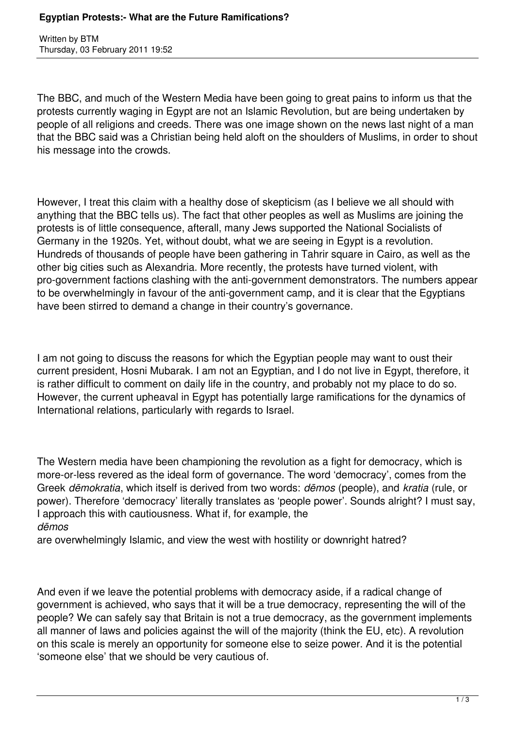Written by BTM Thursday, 03 February 2011 19:52

The BBC, and much of the Western Media have been going to great pains to inform us that the protests currently waging in Egypt are not an Islamic Revolution, but are being undertaken by people of all religions and creeds. There was one image shown on the news last night of a man that the BBC said was a Christian being held aloft on the shoulders of Muslims, in order to shout his message into the crowds.

However, I treat this claim with a healthy dose of skepticism (as I believe we all should with anything that the BBC tells us). The fact that other peoples as well as Muslims are joining the protests is of little consequence, afterall, many Jews supported the National Socialists of Germany in the 1920s. Yet, without doubt, what we are seeing in Egypt is a revolution. Hundreds of thousands of people have been gathering in Tahrir square in Cairo, as well as the other big cities such as Alexandria. More recently, the protests have turned violent, with pro-government factions clashing with the anti-government demonstrators. The numbers appear to be overwhelmingly in favour of the anti-government camp, and it is clear that the Egyptians have been stirred to demand a change in their country's governance.

I am not going to discuss the reasons for which the Egyptian people may want to oust their current president, Hosni Mubarak. I am not an Egyptian, and I do not live in Egypt, therefore, it is rather difficult to comment on daily life in the country, and probably not my place to do so. However, the current upheaval in Egypt has potentially large ramifications for the dynamics of International relations, particularly with regards to Israel.

The Western media have been championing the revolution as a fight for democracy, which is more-or-less revered as the ideal form of governance. The word 'democracy', comes from the Greek *dēmokratia*, which itself is derived from two words: *dēmos* (people), and *kratia* (rule, or power). Therefore 'democracy' literally translates as 'people power'. Sounds alright? I must say, I approach this with cautiousness. What if, for example, the *dēmos*

are overwhelmingly Islamic, and view the west with hostility or downright hatred?

And even if we leave the potential problems with democracy aside, if a radical change of government is achieved, who says that it will be a true democracy, representing the will of the people? We can safely say that Britain is not a true democracy, as the government implements all manner of laws and policies against the will of the majority (think the EU, etc). A revolution on this scale is merely an opportunity for someone else to seize power. And it is the potential 'someone else' that we should be very cautious of.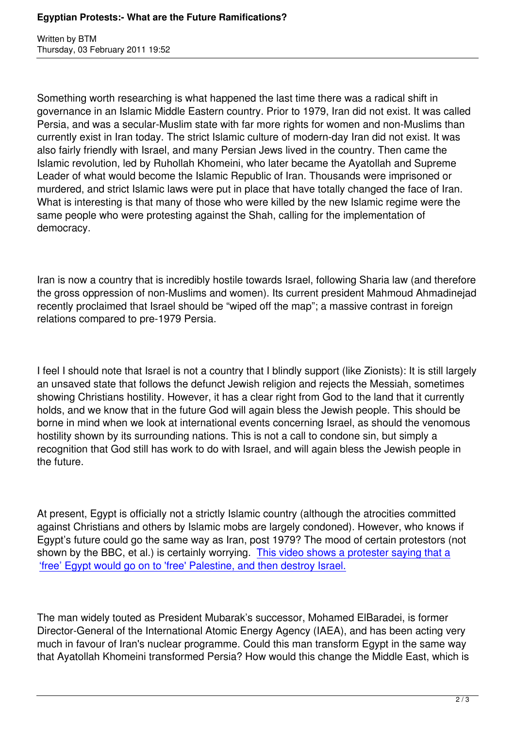Written by BTM and BTM and BTM and BTM and BTM and BTM and BTM and BTM and BTM and BTM and BTM and BTM and BTM

Something worth researching is what happened the last time there was a radical shift in governance in an Islamic Middle Eastern country. Prior to 1979, Iran did not exist. It was called Persia, and was a secular-Muslim state with far more rights for women and non-Muslims than currently exist in Iran today. The strict Islamic culture of modern-day Iran did not exist. It was also fairly friendly with Israel, and many Persian Jews lived in the country. Then came the Islamic revolution, led by Ruhollah Khomeini, who later became the Ayatollah and Supreme Leader of what would become the Islamic Republic of Iran. Thousands were imprisoned or murdered, and strict Islamic laws were put in place that have totally changed the face of Iran. What is interesting is that many of those who were killed by the new Islamic regime were the same people who were protesting against the Shah, calling for the implementation of democracy.

Iran is now a country that is incredibly hostile towards Israel, following Sharia law (and therefore the gross oppression of non-Muslims and women). Its current president Mahmoud Ahmadinejad recently proclaimed that Israel should be "wiped off the map"; a massive contrast in foreign relations compared to pre-1979 Persia.

I feel I should note that Israel is not a country that I blindly support (like Zionists): It is still largely an unsaved state that follows the defunct Jewish religion and rejects the Messiah, sometimes showing Christians hostility. However, it has a clear right from God to the land that it currently holds, and we know that in the future God will again bless the Jewish people. This should be borne in mind when we look at international events concerning Israel, as should the venomous hostility shown by its surrounding nations. This is not a call to condone sin, but simply a recognition that God still has work to do with Israel, and will again bless the Jewish people in the future.

At present, Egypt is officially not a strictly Islamic country (although the atrocities committed against Christians and others by Islamic mobs are largely condoned). However, who knows if Egypt's future could go the same way as Iran, post 1979? The mood of certain protestors (not shown by the BBC, et al.) is certainly worrying. This video shows a protester saying that a 'free' Egypt would go on to 'free' Palestine, and then destroy Israel.

[The man widely touted as President Mubarak's successor, Mohame](http://www.youtube.com/watch?v=9q4HRfdSBY8)d ElBaradei, is former Director-General of the International Atomic Energy Agency (IAEA), and has been acting very much in favour of Iran's nuclear programme. Could this man transform Egypt in the same way that Ayatollah Khomeini transformed Persia? How would this change the Middle East, which is